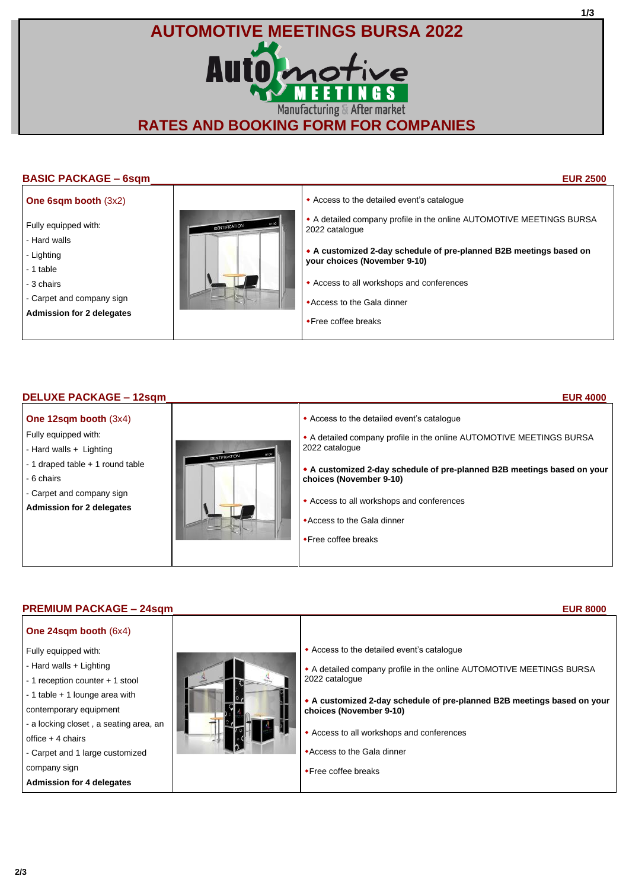# **AUTOMOTIVE MEETINGS BURSA 2022** Auto motive **EETINGS** Manufacturing & After market **RATES AND BOOKING FORM FOR COMPANIES**

# **BASIC PACKAGE – 6sqm EUR 2500**

**1/3**

# **One 6sqm booth** (3x2)

- Fully equipped with:
- Hard walls
- Lighting
- 1 table
- 3 chairs
- Carpet and company sign
- **Admission for 2 delegates**



- Access to the detailed event's catalogue
- A detailed company profile in the online AUTOMOTIVE MEETINGS BURSA 2022 catalogue
- **A customized 2-day schedule of pre-planned B2B meetings based on your choices (November 9-10)**
- Access to all workshops and conferences
- Access to the Gala dinner
- Free coffee breaks

# **DELUXE PACKAGE – 12sqm EUR 4000**

## **One 12sqm booth** (3x4)

- Fully equipped with:
- Hard walls + Lighting
- 1 draped table + 1 round table
- 6 chairs
- Carpet and company sign
- **Admission for 2 delegates**



- Access to the detailed event's catalogue A detailed company profile in the online AUTOMOTIVE MEETINGS BURSA 2022 catalogue **A customized 2-day schedule of pre-planned B2B meetings based on your choices (November 9-10)**
- Access to all workshops and conferences
- Access to the Gala dinner
- Free coffee breaks

# **PREMIUM PACKAGE – 24sqm EUR 8000**

- **One 24sqm booth** (6x4)
- Fully equipped with:
- Hard walls + Lighting
- 1 reception counter + 1 stool
- 1 table + 1 lounge area with
- contemporary equipment
- a locking closet , a seating area, an
- office + 4 chairs
- Carpet and 1 large customized
- company sign
- **Admission for 4 delegates**



- Access to the detailed event's catalogue
- A detailed company profile in the online AUTOMOTIVE MEETINGS BURSA 2022 catalogue
- **A customized 2-day schedule of pre-planned B2B meetings based on your choices (November 9-10)**
- Access to all workshops and conferences
- Access to the Gala dinner
- **\*Free coffee breaks**

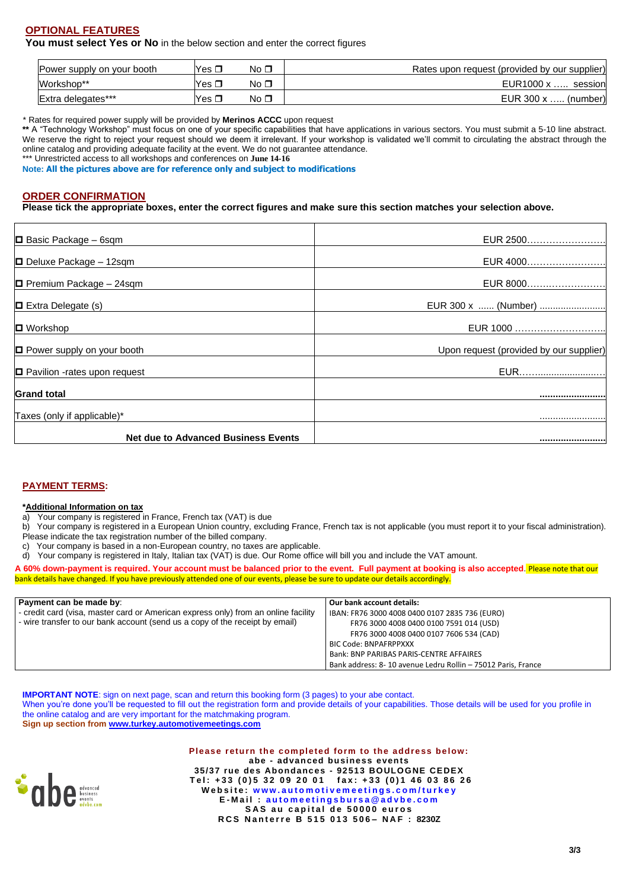# **OPTIONAL FEATURES**

**You must select Yes or No** in the below section and enter the correct figures

| Power supply on your booth | Yes . | No □      | Rates upon request (provided by our supplier) |
|----------------------------|-------|-----------|-----------------------------------------------|
| Workshop**                 | Yes ⊥ | No ⊡      | EUR1000 x<br>session                          |
| Extra delegates***         | Yes ⊥ | No $\Box$ | EUR $300 \times \ldots$ (number)              |

\* Rates for required power supply will be provided by **Merinos ACCC** upon request

**\*\*** A "Technology Workshop" must focus on one of your specific capabilities that have applications in various sectors. You must submit a 5-10 line abstract. We reserve the right to reject your request should we deem it irrelevant. If your workshop is validated we'll commit to circulating the abstract through the online catalog and providing adequate facility at the event. We do not guarantee attendance.

\*\*\* Unrestricted access to all workshops and conferences on June 14-16

**Note: All the pictures above are for reference only and subject to modifications**

### **ORDER CONFIRMATION**

**Please tick the appropriate boxes, enter the correct figures and make sure this section matches your selection above.**

| <b>Net due to Advanced Business Events</b> |                                         |
|--------------------------------------------|-----------------------------------------|
| Taxes (only if applicable)*                |                                         |
| <b>Grand total</b>                         |                                         |
| $\Box$ Pavilion -rates upon request        | EUR                                     |
| <b>D</b> Power supply on your booth        | Upon request (provided by our supplier) |
| $\blacksquare$ Workshop                    | EUR 1000                                |
| $\Box$ Extra Delegate (s)                  | EUR 300 x  (Number)                     |
| $\Box$ Premium Package - 24sqm             | EUR 8000                                |
| $\Box$ Deluxe Package - 12sqm              | EUR 4000                                |
| $\Box$ Basic Package - 6sqm                | EUR 2500                                |

### **PAYMENT TERMS:**

#### **\*Additional Information on tax**

a) Your company is registered in France, French tax (VAT) is due

b) Your company is registered in a European Union country, excluding France, French tax is not applicable (you must report it to your fiscal administration).

Please indicate the tax registration number of the billed company.

c) Your company is based in a non-European country, no taxes are applicable.

d) Your company is registered in Italy, Italian tax (VAT) is due. Our Rome office will bill you and include the VAT amount.

**A 60% down-payment is required. Your account must be balanced prior to the event. Full payment at booking is also accepted**. Please note that our bank details have changed. If you have previously attended one of our events, please be sure to update our details accordingly.

| Payment can be made by:                                                            | Our bank account details:                                    |
|------------------------------------------------------------------------------------|--------------------------------------------------------------|
| - credit card (visa, master card or American express only) from an online facility | IBAN: FR76 3000 4008 0400 0107 2835 736 (EURO)               |
| - wire transfer to our bank account (send us a copy of the receipt by email)       | FR76 3000 4008 0400 0100 7591 014 (USD)                      |
|                                                                                    | FR76 3000 4008 0400 0107 7606 534 (CAD)                      |
|                                                                                    | <b>BIC Code: BNPAFRPPXXX</b>                                 |
|                                                                                    | Bank: BNP PARIBAS PARIS-CENTRE AFFAIRES                      |
|                                                                                    | Bank address: 8-10 avenue Ledru Rollin - 75012 Paris, France |

**IMPORTANT NOTE**: sign on next page, scan and return this booking form (3 pages) to your abe contact. When you're done you'll be requested to fill out the registration form and provide details of your capabilities. Those details will be used for you profile in the online catalog and are very important for the matchmaking program. **Sign up section from [www.turkey.automotivemeetings.com](http://www.turkey.automotivemeetings.com/)**



**Please return the completed form to the address below: abe - advanced business events 35/37 rue des Abondances - 92513 BOULOGNE CEDEX T e l : + 3 3 ( 0 ) 5 3 2 0 9 2 0 0 1 f a x : + 3 3 ( 0 ) 1 4 6 0 3 8 6 2 6** Website www.automotivemeetings.com/turkey **E - M a i l : a u t o m e e t i n g s b u r s a @ a d v b e . c o m** SAS au capital de 50000 euros **R C S N a n t e r r e B 5 1 5 0 1 3 5 0 6 – NAF : 8230Z**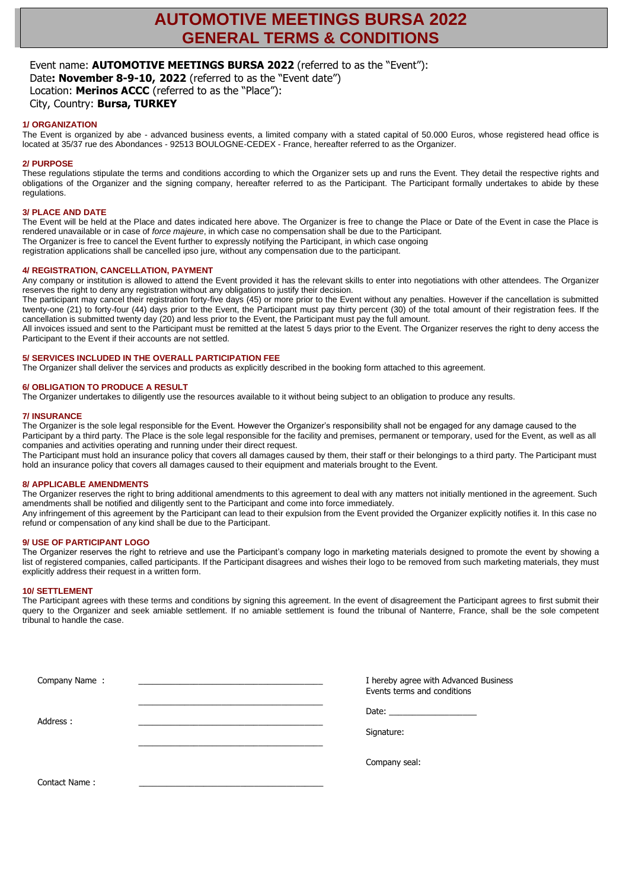# **AUTOMOTIVE MEETINGS BURSA 2022 GENERAL TERMS & CONDITIONS**

# Event name: **AUTOMOTIVE MEETINGS BURSA 2022** (referred to as the "Event"):

Date**: November 8-9-10, 2022** (referred to as the "Event date") Location: **Merinos ACCC** (referred to as the "Place"): City, Country: **Bursa, TURKEY**

### **1/ ORGANIZATION**

The Event is organized by abe - advanced business events, a limited company with a stated capital of 50.000 Euros, whose registered head office is located at 35/37 rue des Abondances - 92513 BOULOGNE-CEDEX - France, hereafter referred to as the Organizer.

#### **2/ PURPOSE**

These regulations stipulate the terms and conditions according to which the Organizer sets up and runs the Event. They detail the respective rights and obligations of the Organizer and the signing company, hereafter referred to as the Participant. The Participant formally undertakes to abide by these regulations.

#### **3/ PLACE AND DATE**

The Event will be held at the Place and dates indicated here above. The Organizer is free to change the Place or Date of the Event in case the Place is rendered unavailable or in case of *force majeure*, in which case no compensation shall be due to the Participant. The Organizer is free to cancel the Event further to expressly notifying the Participant, in which case ongoing

registration applications shall be cancelled ipso jure, without any compensation due to the participant.

#### **4/ REGISTRATION, CANCELLATION, PAYMENT**

Any company or institution is allowed to attend the Event provided it has the relevant skills to enter into negotiations with other attendees. The Organizer reserves the right to deny any registration without any obligations to justify their decision.

The participant may cancel their registration forty-five days (45) or more prior to the Event without any penalties. However if the cancellation is submitted twenty-one (21) to forty-four (44) days prior to the Event, the Participant must pay thirty percent (30) of the total amount of their registration fees. If the cancellation is submitted twenty day (20) and less prior to the Event, the Participant must pay the full amount.

All invoices issued and sent to the Participant must be remitted at the latest 5 days prior to the Event. The Organizer reserves the right to deny access the Participant to the Event if their accounts are not settled.

#### **5/ SERVICES INCLUDED IN THE OVERALL PARTICIPATION FEE**

The Organizer shall deliver the services and products as explicitly described in the booking form attached to this agreement.

#### **6/ OBLIGATION TO PRODUCE A RESULT**

The Organizer undertakes to diligently use the resources available to it without being subject to an obligation to produce any results.

#### **7/ INSURANCE**

The Organizer is the sole legal responsible for the Event. However the Organizer's responsibility shall not be engaged for any damage caused to the Participant by a third party. The Place is the sole legal responsible for the facility and premises, permanent or temporary, used for the Event, as well as all companies and activities operating and running under their direct request.

The Participant must hold an insurance policy that covers all damages caused by them, their staff or their belongings to a third party. The Participant must hold an insurance policy that covers all damages caused to their equipment and materials brought to the Event.

#### **8/ APPLICABLE AMENDMENTS**

The Organizer reserves the right to bring additional amendments to this agreement to deal with any matters not initially mentioned in the agreement. Such amendments shall be notified and diligently sent to the Participant and come into force immediately.

Any infringement of this agreement by the Participant can lead to their expulsion from the Event provided the Organizer explicitly notifies it. In this case no refund or compensation of any kind shall be due to the Participant.

#### **9/ USE OF PARTICIPANT LOGO**

The Organizer reserves the right to retrieve and use the Participant's company logo in marketing materials designed to promote the event by showing a list of registered companies, called participants. If the Participant disagrees and wishes their logo to be removed from such marketing materials, they must explicitly address their request in a written form.

#### **10/ SETTLEMENT**

The Participant agrees with these terms and conditions by signing this agreement. In the event of disagreement the Participant agrees to first submit their query to the Organizer and seek amiable settlement. If no amiable settlement is found the tribunal of Nanterre, France, shall be the sole competent tribunal to handle the case.

| Company Name: | I hereby agree with Advanced Business<br>Events terms and conditions |
|---------------|----------------------------------------------------------------------|
| Address :     |                                                                      |
|               | Signature:                                                           |
|               | Company seal:                                                        |
| Contact Name: |                                                                      |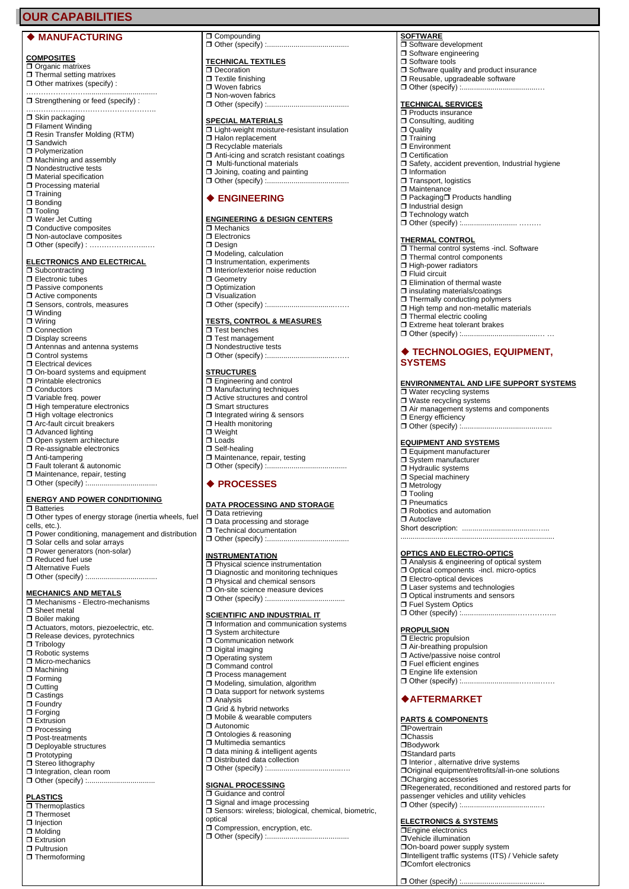# **OUR CAPABILITIES**

### ◆ **MANUFACTURING**

#### **COMPOSITES**

□ Organic matrixes □ Thermal setting matrixes □ Other matrixes (specify) :

…………………………………………………… Strengthening or feed (specify) :

……………………………………………..

- $\Box$  Skin packaging
- Filament Winding
- Resin Transfer Molding (RTM) **O** Sandwich
- Polymerization
- $\Box$  Machining and assembly
- □ Nondestructive tests
- **D** Material specification
- $\Box$  Processing material
- $\Box$  Training □ Bonding
- $\Box$  Tooling
- Water Jet Cutting
- **□ Conductive composites**
- $\square$  Non-autoclave composites □ Other (specify) : ………………………

#### **ELECTRONICS AND ELECTRICAL**

- **Bubcontracting**
- □ Electronic tubes
- $\Box$  Passive components
- $\Box$  Active components **J** Sensors, controls, measures
- 
- Winding
- Wiring
- □ Connection Display screens
- Antennas and antenna systems
- Control systems
- **Electrical devices**
- $\square$  On-board systems and equipment
- □ Printable electronics
- □ Conductors
- □ Variable freq. power
- $\Box$  High temperature electronics
- **□ High voltage electronics** □ Arc-fault circuit breakers
- **□** Advanced lighting
- Open system architecture
- □ Re-assignable electronics
- Anti-tampering
- Fault tolerant & autonomic
- □ Maintenance, repair, testing □ Other (specify) :.................................

#### **ENERGY AND POWER CONDITIONING**

- $\Box$  Batteries
- □ Other types of energy storage (inertia wheels, fuel cells, etc.).
- $\Box$  Power conditioning, management and distribution
- □ Solar cells and solar arrays
- □ Power generators (non-solar)
- Reduced fuel use
- □ Alternative Fuels □ Other (specify) :.................................

- **MECHANICS AND METALS** Mechanisms - Electro-mechanisms
- 
- □ Sheet metal **Boiler making**
- $\Box$  Actuators, motors, piezoelectric, etc.
- □ Release devices, pyrotechnics
- 
- □ Tribology
- Robotic systems □ Micro-mechanics
- 
- $\Box$  Machining
- □ Forming
- **D** Cutting
- **O** Castings
- $\Box$  Foundry  $\Box$  Forging
- □ Extrusion
- **Processing**
- □ Post-treatments
- Deployable structures
- **Prototyping**
- 
- □ Stereo lithography □ Integration, clean room
- □ Other (specify) :................................

#### **PLASTICS**

- **T** Thermoplastics
- **Thermoset**
- **I**njection
- □ Molding
- 
- **D** Extrusion
- **Pultrusion**
- $\Box$  Thermoforming

**Compounding**  $\Box$  Other (specify)

## **TECHNICAL TEXTILES**

- □ Decoration  $\Box$  Textile finishing Woven fabrics □ Non-woven fabrics
- $\Box$  Other (specify) :

### **SPECIAL MATERIALS**

**I** Light-weight moisture-resistant insulation

**SOFTWARE**

**D** Quality  $\Box$  Training **Environment** Certification

□ Information □ Transport, logistics □ Maintenance

 $\square$  Industrial design □ Technology watch

**THERMAL CONTROL**

Software development Software engineering **O** Software tools

**TECHNICAL SERVICES Products insurance** O Consulting, auditing

 $\square$  Software quality and product insurance Reusable, upgradeable software Other (specify) :.....................................…

□ Safety, accident prevention, Industrial hygiene

□ Packaging□ Products handling

**D** Elimination of thermal waste  $\Box$  insulating materials/coatings  $\Box$  Thermally conducting polymers  $\Box$  High temp and non-metallic materials

Thermal electric cooling Extreme heat tolerant brakes  $\Box$  Other (specify) :.....

 Water recycling systems □ Waste recycling systems

**EQUIPMENT AND SYSTEMS D** Equipment manufacturer □ System manufacturer Hydraulic systems □ Special machinery □ Metrology □ Tooling **D** Pneumatics

□ Robotics and automation

**I** Electro-optical devices □ Laser systems and technologies Optical instruments and sensors

□ Fuel System Optics

◆**AFTERMARKET**

**PARTS & COMPONENTS**

**OCharging accessories** 

**ELECTRONICS & SYSTEMS DEngine electronics** Vehicle illumination

On-board power supply system

 $\Box$  Other (specify) :..

**Comfort electronics**  $\Box$  Other (specify) :

 $\Box$  Interior, alternative drive systems

passenger vehicles and utility vehicles

**PROPULSION Electric propulsion**  $\Box$  Air-breathing propulsion □ Active/passive noise control  $\square$  Fuel efficient engines **D** Engine life extension

**Powertrain**  $\Box$ Chassis Bodywork □Standard parts

Short description: ....................................…...

Other (specify) :..........................……………..

Other (specify) :............................……..…….

Original equipment/retrofits/all-in-one solutions

Intelligent traffic systems (ITS) / Vehicle safety

Regenerated, reconditioned and restored parts for

**OPTICS AND ELECTRO-OPTICS** Analysis & engineering of optical system Optical components -incl. micro-optics

...........................................................................

□ Autoclave

**Energy efficiency**  $\Box$  Other (specify) :...

**SYSTEMS**

□ Other (specify) :………………………………

□ Thermal control systems -incl. Software □ Thermal control components **High-power radiators** □ Fluid circuit

◆ **TECHNOLOGIES, EQUIPMENT,** 

 $\Box$  Air management systems and components

**ENVIRONMENTAL AND LIFE SUPPORT SYSTEMS**

- $\Box$  Halon replacement
- Recyclable materials
- Anti-icing and scratch resistant coatings □ Multi-functional materials
- 
- $\Box$  Joining, coating and painting Other (specify) :........................................

#### ◆ **ENGINEERING**

#### **ENGINEERING & DESIGN CENTERS**

Other (specify) :.................................……

Other (specify) :.................................……

**TESTS, CONTROL & MEASURES**

**□** Integrated wiring & sensors **D** Health monitoring  $\square$  Weight □ Loads □ Self-healing

Maintenance, repair, testing

□ Data processing and storage **T** Technical documentation  $\Box$  Other (specify) :... **INSTRUMENTATION**

□ Physical science instrumentation **D** Diagnostic and monitoring techniques □ Physical and chemical sensors On-site science measure devices

**SCIENTIFIC AND INDUSTRIAL IT**  $\Box$  Information and communication systems

◆ **PROCESSES**

**Data retrieving** 

Other (specify) :...

**D** System architecture O Communication network □ Digital imaging **O** Operating system Command control **D** Process management □ Modeling, simulation, algorithm □ Data support for network systems

Grid & hybrid networks □ Mobile & wearable computers

Ontologies & reasoning □ Multimedia semantics  $\Box$  data mining & intelligent agents D Distributed data collection □ Other (specify) :.... **SIGNAL PROCESSING O** Guidance and control □ Signal and image processing

**O Compression, encryption, etc.** Other (specify) :........................................

□ Sensors: wireless; biological, chemical, biometric,

Analysis

Autonomic

optical

Other (specify) :.......................................

**DATA PROCESSING AND STORAGE**

- □ Mechanics
- **D** Electronics  $\square$  Design
- □ Modeling, calculation

□ Geometry □ Optimization Visualization

 $\square$  Test benches  $\Box$  Test management **□** Nondestructive tests

**STRUCTURES** □ Engineering and control □ Manufacturing techniques □ Active structures and control **O** Smart structures

- $\Box$  Instrumentation, experiments
- □ Interior/exterior noise reduction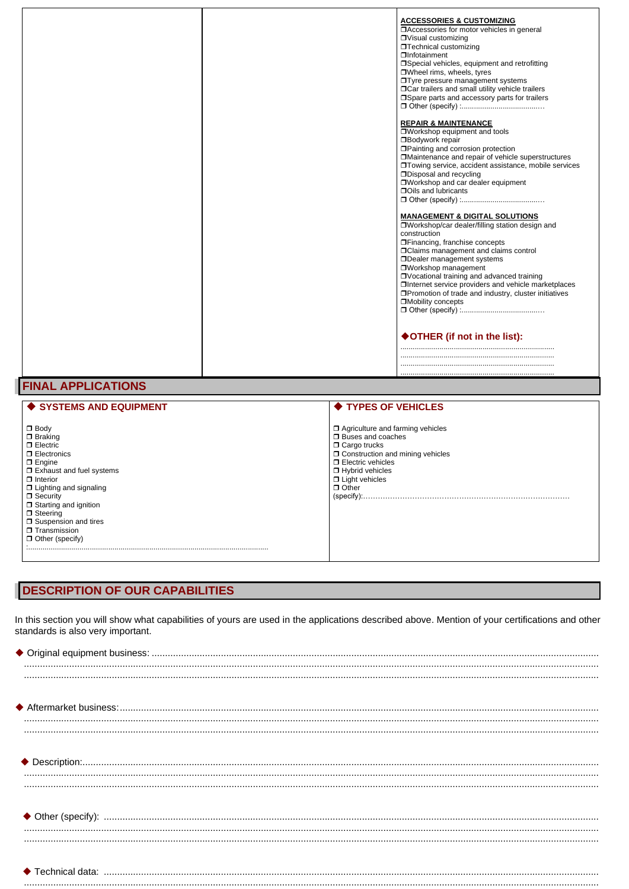|  | <b>ACCESSORIES &amp; CUSTOMIZING</b><br>□ Accessories for motor vehicles in general<br>□ Visual customizing<br>□Technical customizing<br><b>OInfotainment</b><br>□Special vehicles, equipment and retrofitting<br>□Wheel rims, wheels, tyres<br><b>Tyre pressure management systems</b><br>□ Car trailers and small utility vehicle trailers<br>□ Spare parts and accessory parts for trailers<br><b>REPAIR &amp; MAINTENANCE</b><br>□Workshop equipment and tools<br><b>Bodywork repair</b><br>□ Painting and corrosion protection<br>□ Maintenance and repair of vehicle superstructures<br>□Towing service, accident assistance, mobile services<br><b>ODisposal and recycling</b><br>OWorkshop and car dealer equipment<br><b>OOils and lubricants</b><br><b>MANAGEMENT &amp; DIGITAL SOLUTIONS</b><br>OWorkshop/car dealer/filling station design and<br>construction<br><b>OFinancing, franchise concepts</b><br><b>OClaims management and claims control</b><br><b>ODealer management systems</b><br>OWorkshop management<br>□ Vocational training and advanced training<br>□Internet service providers and vehicle marketplaces<br>□ Promotion of trade and industry, cluster initiatives<br>□Mobility concepts |
|--|-------------------------------------------------------------------------------------------------------------------------------------------------------------------------------------------------------------------------------------------------------------------------------------------------------------------------------------------------------------------------------------------------------------------------------------------------------------------------------------------------------------------------------------------------------------------------------------------------------------------------------------------------------------------------------------------------------------------------------------------------------------------------------------------------------------------------------------------------------------------------------------------------------------------------------------------------------------------------------------------------------------------------------------------------------------------------------------------------------------------------------------------------------------------------------------------------------------------------|
|  | ♦ OTHER (if not in the list):                                                                                                                                                                                                                                                                                                                                                                                                                                                                                                                                                                                                                                                                                                                                                                                                                                                                                                                                                                                                                                                                                                                                                                                           |
|  |                                                                                                                                                                                                                                                                                                                                                                                                                                                                                                                                                                                                                                                                                                                                                                                                                                                                                                                                                                                                                                                                                                                                                                                                                         |

# **FINAL APPLICATIONS**

| ♦ SYSTEMS AND EQUIPMENT                                                                                                                                                                                                                                                                                                  | ♦ TYPES OF VEHICLES                                                                                                                                                                                                                      |
|--------------------------------------------------------------------------------------------------------------------------------------------------------------------------------------------------------------------------------------------------------------------------------------------------------------------------|------------------------------------------------------------------------------------------------------------------------------------------------------------------------------------------------------------------------------------------|
| $\Box$ Body<br>$\Box$ Braking<br>$\Box$ Electric<br>$\Box$ Electronics<br>$\Box$ Engine<br>$\Box$ Exhaust and fuel systems<br>$\Box$ Interior<br>$\Box$ Lighting and signaling<br>$\Box$ Security<br>$\Box$ Starting and ignition<br>$\Box$ Steering<br>Suspension and tires<br>□ Transmission<br>$\Box$ Other (specify) | □ Agriculture and farming vehicles<br><b>D</b> Buses and coaches<br>$\Box$ Cargo trucks<br>□ Construction and mining vehicles<br>$\Box$ Electric vehicles<br>□ Hybrid vehicles<br>$\Box$ Light vehicles<br>$\Box$ Other<br>$(specify)$ : |

...........................................................................

# **DESCRIPTION OF OUR CAPABILITIES**

In this section you will show what capabilities of yours are used in the applications described above. Mention of your certifications and other standards is also very important.

........................................................................................................................................................................................................................